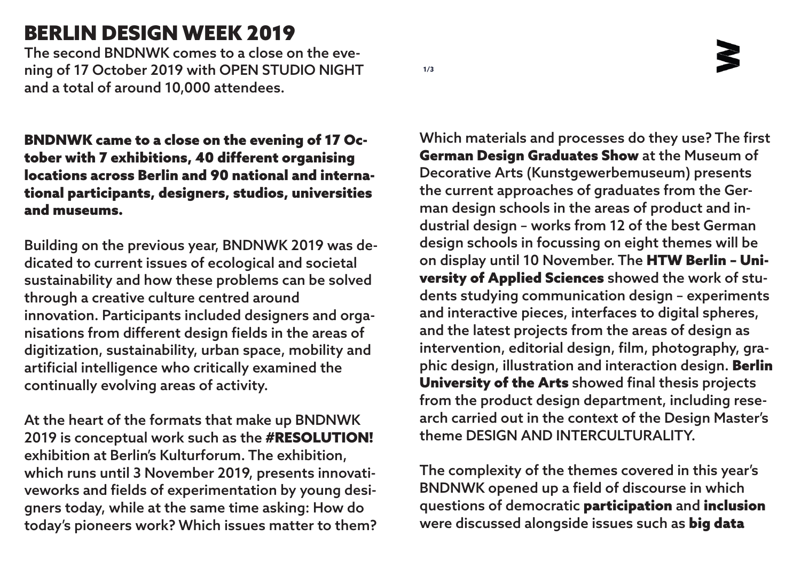The complexity of the themes covered in this year's BNDNWK opened up a field of discourse in which questions of democratic participation and inclusion were discussed alongside issues such as big data

Which materials and processes do they use? The first German Design Graduates Show at the Museum of Decorative Arts (Kunstgewerbemuseum) presents the current approaches of graduates from the German design schools in the areas of product and industrial design – works from 12 of the best German design schools in focussing on eight themes will be on display until 10 November. The HTW Berlin – University of Applied Sciences showed the work of students studying communication design – experiments and interactive pieces, interfaces to digital spheres, and the latest projects from the areas of design as intervention, editorial design, film, photography, graphic design, illustration and interaction design. Berlin University of the Arts showed final thesis projects from the product design department, including research carried out in the context of the Design Master's theme DESIGN AND INTERCULTURALITY.

# BERLIN DESIGN WEEK 2019

The second BNDNWK comes to a close on the evening of 17 October 2019 with OPEN STUDIO NIGHT and a total of around 10,000 attendees.

BNDNWK came to a close on the evening of 17 October with 7 exhibitions, 40 different organising locations across Berlin and 90 national and international participants, designers, studios, universities and museums.

Building on the previous year, BNDNWK 2019 was dedicated to current issues of ecological and societal sustainability and how these problems can be solved through a creative culture centred around innovation. Participants included designers and organisations from different design fields in the areas of digitization, sustainability, urban space, mobility and artificial intelligence who critically examined the continually evolving areas of activity.

At the heart of the formats that make up BNDNWK 2019 is conceptual work such as the #RESOLUTION! exhibition at Berlin's Kulturforum. The exhibition, which runs until 3 November 2019, presents innovativeworks and fields of experimentation by young designers today, while at the same time asking: How do today's pioneers work? Which issues matter to them?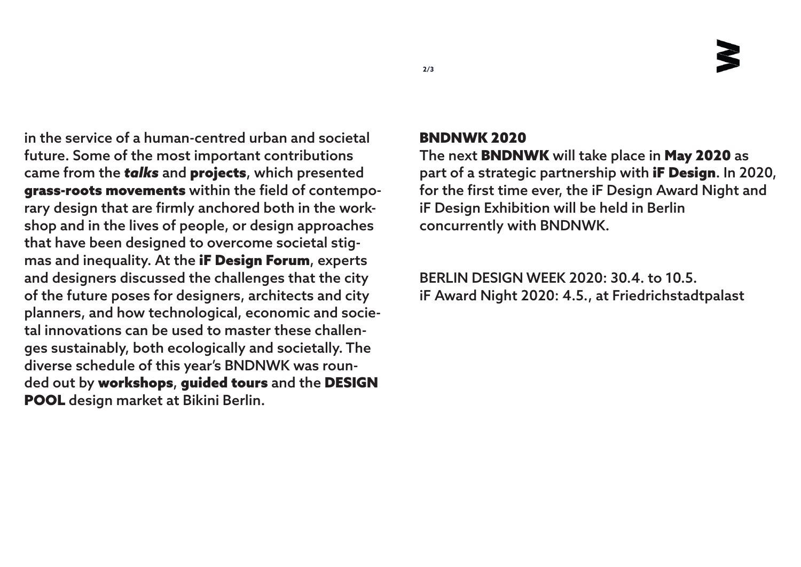### BNDNWK 2020

The next BNDNWK will take place in May 2020 as part of a strategic partnership with iF Design. In 2020, for the first time ever, the iF Design Award Night and iF Design Exhibition will be held in Berlin concurrently with BNDNWK.

BERLIN DESIGN WEEK 2020: 30.4. to 10.5. iF Award Night 2020: 4.5., at Friedrichstadtpalast

in the service of a human-centred urban and societal future. Some of the most important contributions came from the *talks* and projects, which presented grass-roots movements within the field of contemporary design that are firmly anchored both in the workshop and in the lives of people, or design approaches that have been designed to overcome societal stigmas and inequality. At the iF Design Forum, experts and designers discussed the challenges that the city of the future poses for designers, architects and city planners, and how technological, economic and societal innovations can be used to master these challenges sustainably, both ecologically and societally. The diverse schedule of this year's BNDNWK was rounded out by workshops, guided tours and the DESIGN POOL design market at Bikini Berlin.